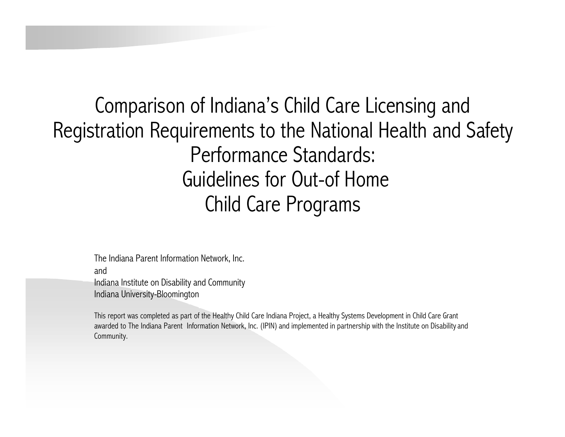Comparison of Indiana's Child Care Licensing and Registration Requirements to the National Health and Safety Performance Standards: Guidelines for Out-of Home Child Care Programs

The Indiana Parent Information Network, Inc.

and

Indiana Institute on Disability and Community Indiana University-Bloomington

This report was completed as part of the Healthy Child Care Indiana Project, a Healthy Systems Development in Child Care Grant awarded to The Indiana Parent Information Network, Inc. (IPIN) and implemented in partnership with the Institute on Disability and Community.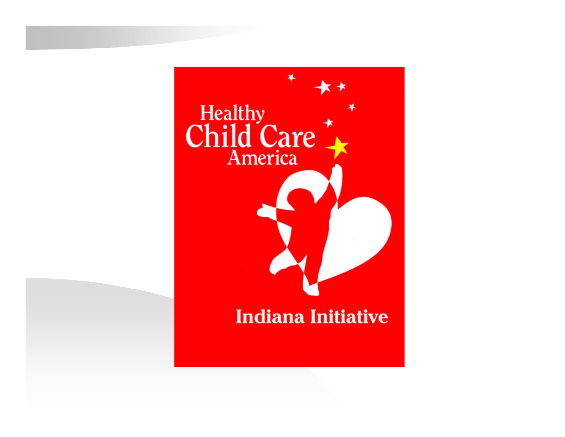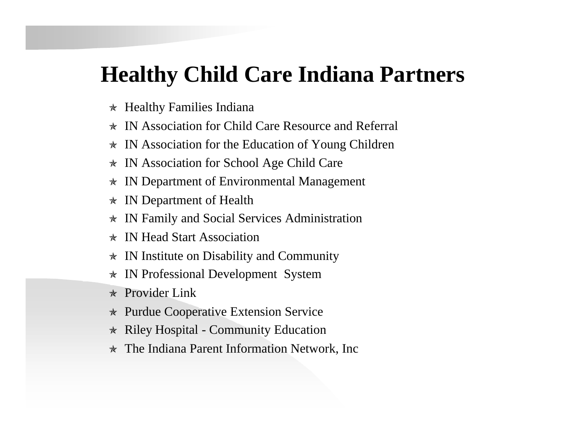### **Healthy Child Care Indiana Partners**

- $\star$  Healthy Families Indiana
- $\star$  IN Association for Child Care Resource and Referral
- $\star$  IN Association for the Education of Young Children
- $\star$  IN Association for School Age Child Care
- $\star$  IN Department of Environmental Management
- $\star$  IN Department of Health
- $\star$  IN Family and Social Services Administration
- \* IN Head Start Association
- $\star$  IN Institute on Disability and Community
- ò IN Professional Development System
- $\star$  Provider Link
- $\star$  Purdue Cooperative Extension Service
- $\star$  Riley Hospital Community Education
- $\star$  The Indiana Parent Information Network, Inc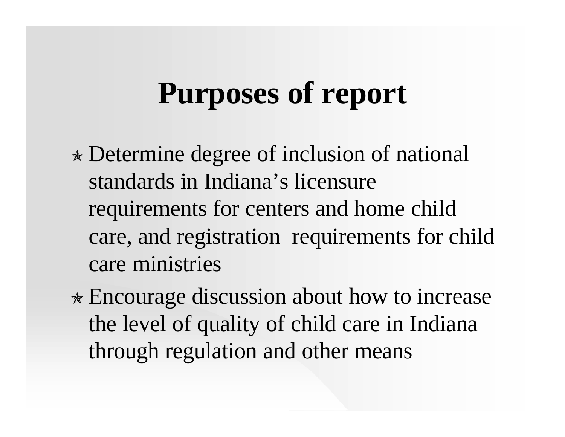## **Purposes of report**

- $\ast$  Determine degree of inclusion of national standards in Indiana's licensure requirements for centers and home child care, and registration requirements for child care ministries
- $\ast$  Encourage discussion about how to increase the level of quality of child care in Indiana through regulation and other means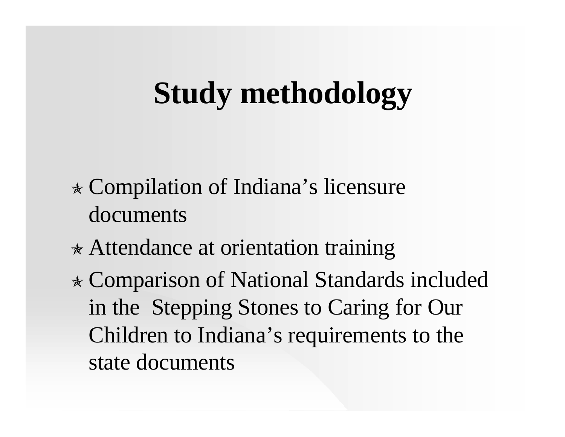## **Study methodology**

- $\ast$  Compilation of Indiana's licensure documents
- $\ast$  Attendance at orientation training
- <sup>ò</sup> Comparison of National Standards included in the Stepping Stones to Caring for Our Children to Indiana's requirements to the state documents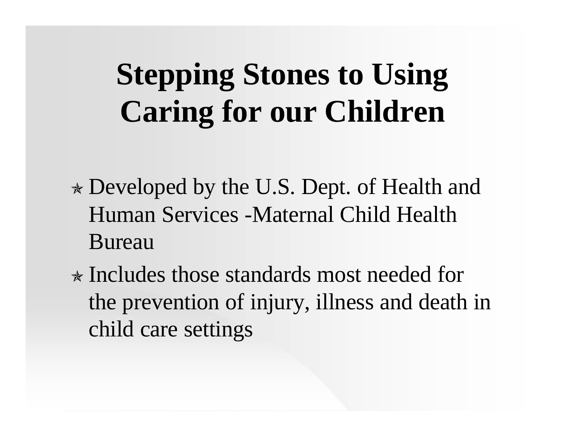# **Stepping Stones to Using Caring for our Children**

- $\ast$  Developed by the U.S. Dept. of Health and Human Services -Maternal Child Health Bureau
- $\ast$  Includes those standards most needed for the prevention of injury, illness and death in child care settings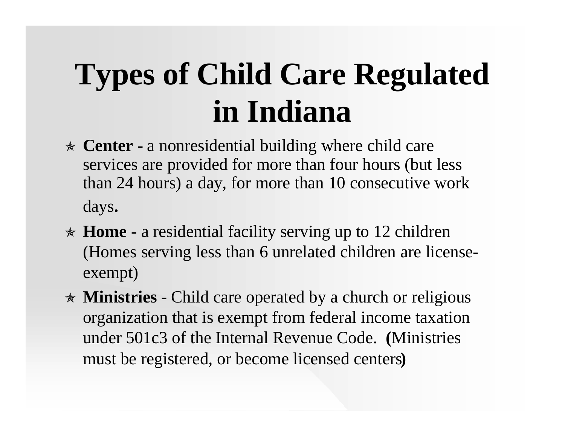## **Types of Child Care Regulated in Indiana**

- ò **Center** a nonresidential building where child care services are provided for more than four hours (but less than 24 hours) a day, for more than 10 consecutive work days.
- ò **Home -** a residential facility serving up to 12 children (Homes serving less than 6 unrelated children are licenseexempt)
- \* **Ministries** Child care operated by a church or religious organization that is exempt from federal income taxation under 501c3 of the Internal Revenue Code. **(**Ministries must be registered, or become licensed centers**)**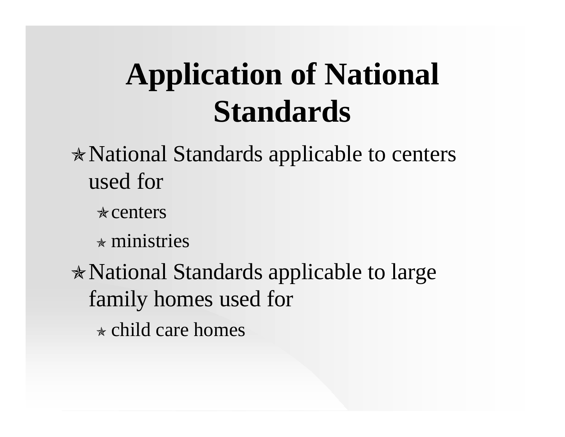## **Application of National Standards**

- $\ast$  National Standards applicable to centers used for
	- $\star$  centers
	- $\star$  ministries
- $\ast$  National Standards applicable to large family homes used for  $\star$  child care homes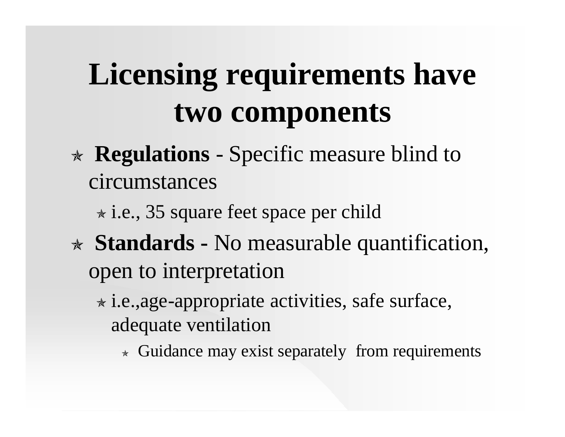# **Licensing requirements have two components**

- <sup>ò</sup> **Regulations** Specific measure blind to circumstances
	- $\star$  i.e., 35 square feet space per child
- <sup>ò</sup> **Standards -** No measurable quantification, open to interpretation
	- $\star$  i.e.,age-appropriate activities, safe surface, adequate ventilation
		- $\star$  Guidance may exist separately from requirements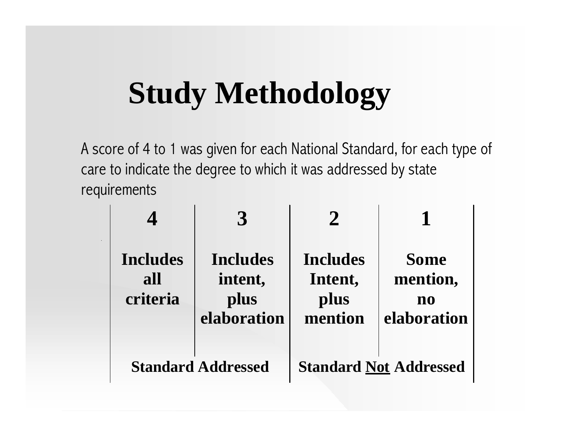## **Study Methodology**

A score of 4 to 1 was given for each National Standard, for each type of care to indicate the degree to which it was addressed by state requirements

| <b>Includes</b><br>all<br>criteria | <b>Includes</b><br>intent,<br>plus<br>elaboration | <b>Includes</b><br>Intent,<br>plus<br>mention | <b>Some</b><br>mention,<br>no<br>elaboration |
|------------------------------------|---------------------------------------------------|-----------------------------------------------|----------------------------------------------|
| <b>Standard Addressed</b>          |                                                   | <b>Standard Not Addressed</b>                 |                                              |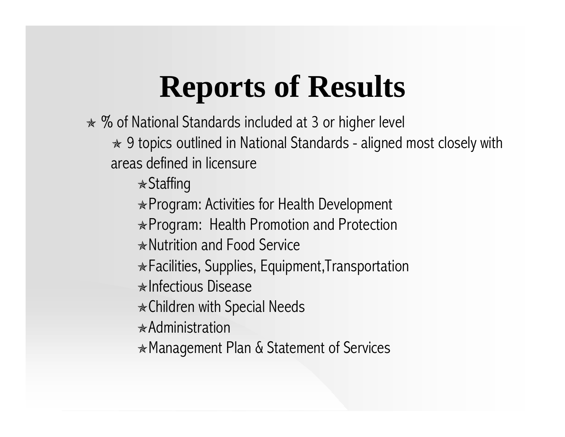## **Reports of Results**

 $\ast$  % of National Standards included at 3 or higher level

 $\ast$  9 topics outlined in National Standards - aligned most closely with areas defined in licensure

 $\ast$ Staffing

 $\ast$  Program: Activities for Health Development

 $\ast$  Program: Health Promotion and Protection

 $\ast$  Nutrition and Food Service

 $\ast$  Facilities, Supplies, Equipment, Transportation

 $\ast$ Infectious Disease

 $\ast$ Children with Special Needs

 $\ast$ Administration

 $*$  Management Plan & Statement of Services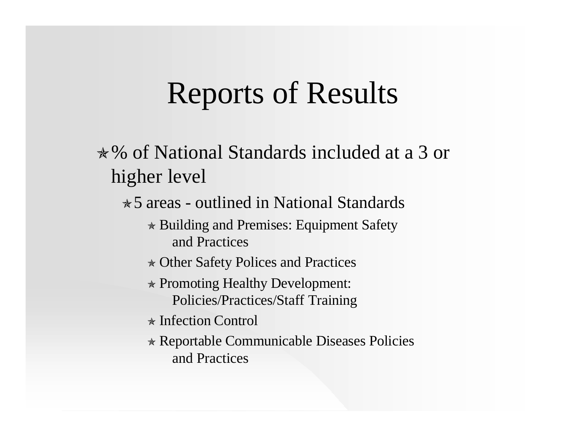## Reports of Results

ò% of National Standards included at a 3 or higher level

 $\star$  5 areas - outlined in National Standards

- $\star$  Building and Premises: Equipment Safety and Practices
- $\star$  Other Safety Polices and Practices
- $\ast$  Promoting Healthy Development: Policies/Practices/Staff Training
- $\star$  Infection Control
- ò Reportable Communicable Diseases Policies and Practices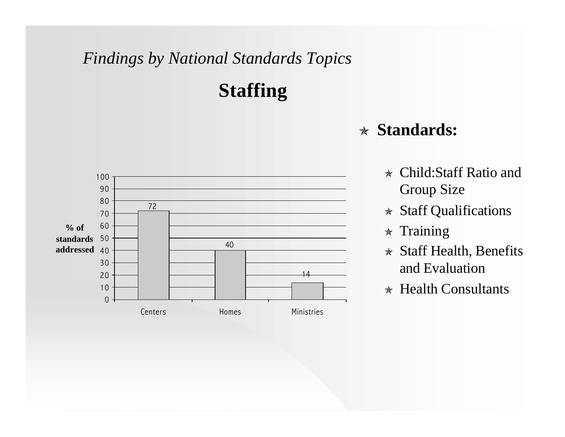### **Staffing**



- $\star$  Child:Staff Ratio and Group Size
- $\star$  Staff Qualifications
- $\star$  Training
- $\star$  Staff Health, Benefits and Evaluation
- $\star$  Health Consultants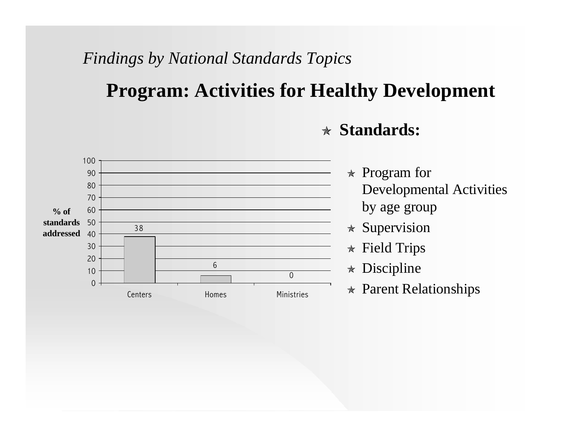### **Program: Activities for Healthy Development**



- $\ast$  Program for Developmental Activities by age group
- $\ast$  Supervision
- $\ast$  Field Trips
- $\star$  Discipline
- $\star$  Parent Relationships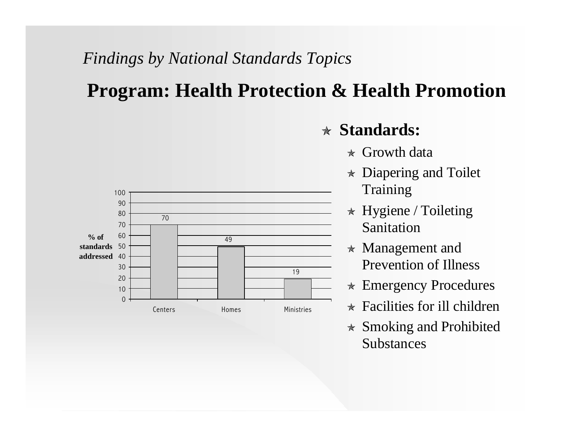### **Program: Health Protection & Health Promotion**



- $\star$  Growth data
- $\star$  Diapering and Toilet Training
- $\star$  Hygiene / Toileting Sanitation
- $\star$  Management and Prevention of Illness
- $\ast$  Emergency Procedures
- $\star$  Facilities for ill children
- $\ast$  Smoking and Prohibited Substances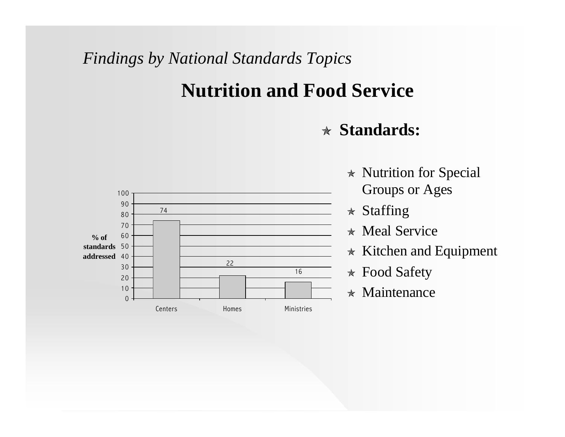### **Nutrition and Food Service**



- $\star$  Nutrition for Special Groups or Ages
- $\star$  Staffing
- $\star$  Meal Service
- $\star$  Kitchen and Equipment
- $\star$  Food Safety
- $\star$  Maintenance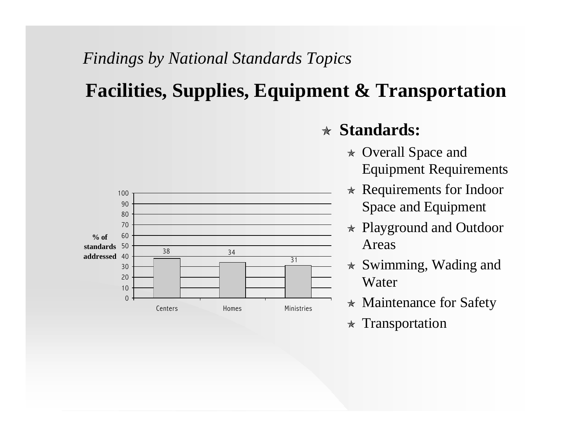### **Facilities, Supplies, Equipment & Transportation**



- $\star$  Overall Space and Equipment Requirements
- $\ast$  Requirements for Indoor Space and Equipment
- $\ast$  Playground and Outdoor Areas
- $\star$  Swimming, Wading and Water
- $\star$  Maintenance for Safety
- $\ast$  Transportation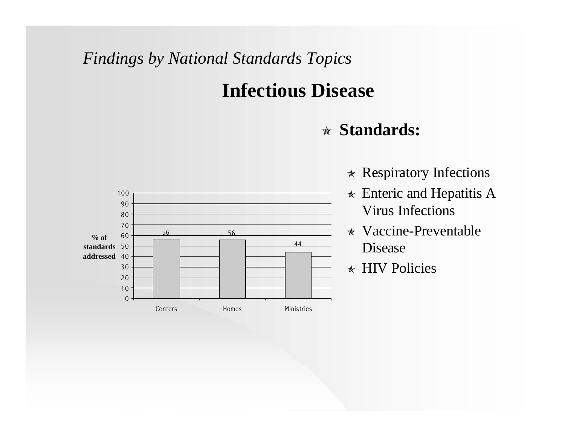### **Infectious Disease**



- $\star$  Respiratory Infections
- $\star$  Enteric and Hepatitis A Virus Infections
- $\star$  Vaccine-Preventable Disease
- ò HIV Policies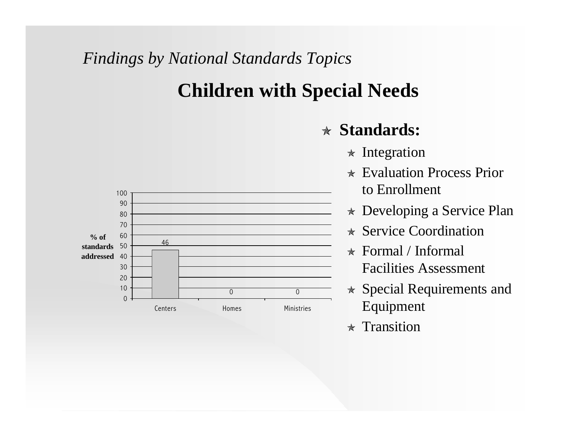### **Children with Special Needs**



- $\ast$  Integration
- $\star$  Evaluation Process Prior to Enrollment
- $\star$  Developing a Service Plan
- $\star$  Service Coordination
- $\star$  Formal / Informal Facilities Assessment
- $\star$  Special Requirements and Equipment
- $\star$  Transition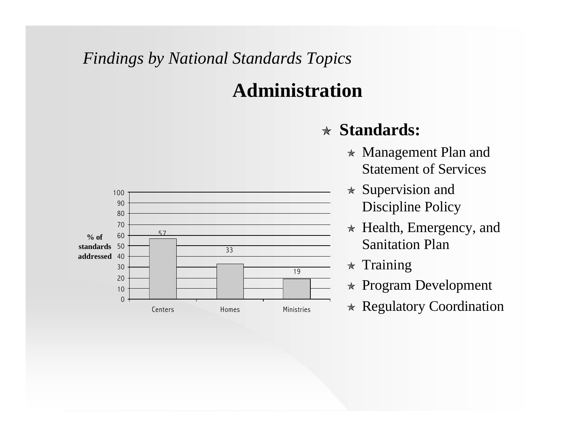### **Administration**



- $\star$  Management Plan and Statement of Services
- $\star$  Supervision and Discipline Policy
- $\star$  Health, Emergency, and Sanitation Plan
- $\star$  Training
- $\ast$  Program Development
- $\star$  Regulatory Coordination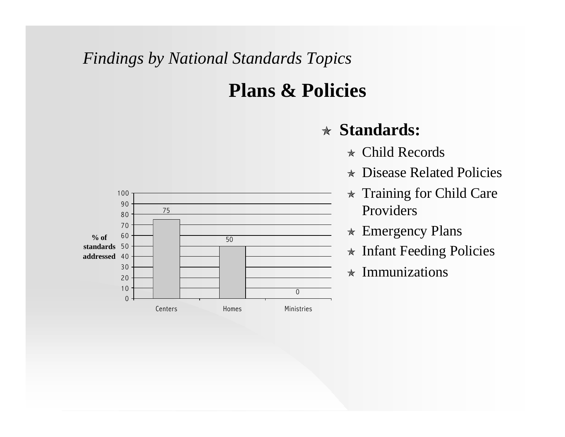### **Plans & Policies**

- $\star$  Child Records
- $\star$  Disease Related Policies
- $\star$  Training for Child Care Providers
- $\ast$  Emergency Plans
- $\star$  Infant Feeding Policies
- $\star$  Immunizations

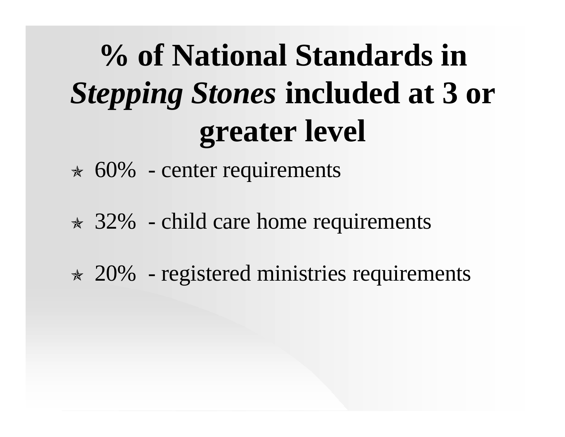# **% of National Standards in**  *Stepping Stones* **included at 3 or greater level**

- $\approx$  60% center requirements
- $\star$  32% child care home requirements
- $\approx$  20% registered ministries requirements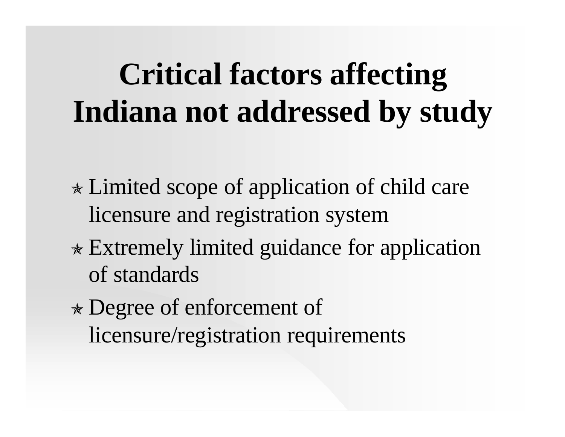## **Critical factors affecting Indiana not addressed by study**

- $\ast$  Limited scope of application of child care licensure and registration system
- $\ast$  Extremely limited guidance for application of standards
- <sup>ò</sup> Degree of enforcement of licensure/registration requirements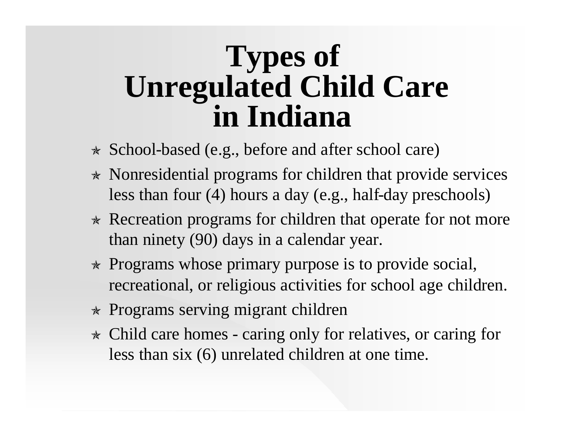## **Types of Unregulated Child Care in Indiana**

- $\star$  School-based (e.g., before and after school care)
- $\star$  Nonresidential programs for children that provide services less than four (4) hours a day (e.g., half-day preschools)
- $\star$  Recreation programs for children that operate for not more than ninety (90) days in a calendar year.
- $\star$  Programs whose primary purpose is to provide social, recreational, or religious activities for school age children.
- $\star$  Programs serving migrant children
- $\star$  Child care homes caring only for relatives, or caring for less than six (6) unrelated children at one time.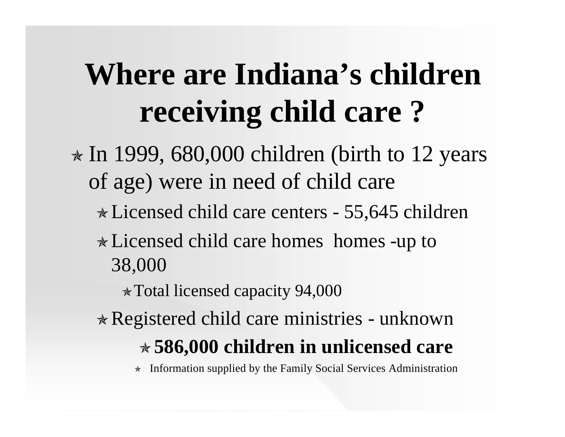# **Where are Indiana's children receiving child care ?**

 $\star$  In 1999, 680,000 children (birth to 12 years of age) were in need of child care òLicensed child care centers - 55,645 children  $\ast$  Licensed child care homes homes -up to 38,000

 $\star$  Total licensed capacity 94,000

 $\ast$  Registered child care ministries - unknown ò**586,000 children in unlicensed care**

 $\star$  Information supplied by the Family Social Services Administration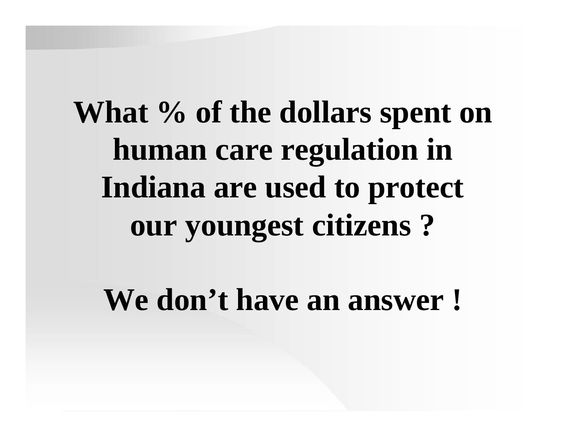**What % of the dollars spent on human care regulation in Indiana are used to protect our youngest citizens ?**

**We don't have an answer !**